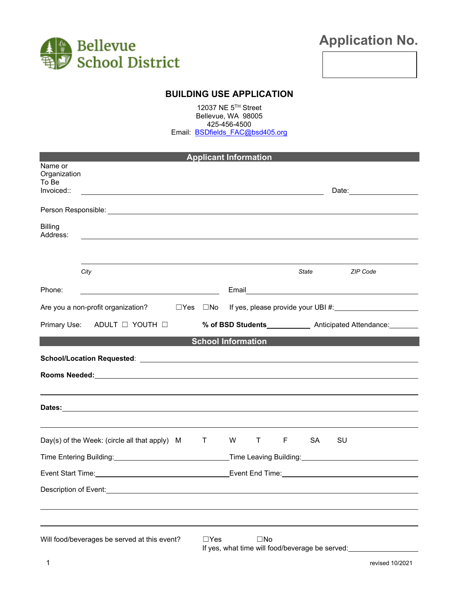

# **Application No.**

**BUILDING USE APPLICATION**

12037 NE 5TH Street Bellevue, WA 98005 425-456-4500 Email: **BSDfields FAC@bsd405.org** 

| <b>Applicant Information</b>                   |                                                               |  |                                                                                                                |                                                                 |                |                                                  |                                                                                                                                                                                                                               |  |
|------------------------------------------------|---------------------------------------------------------------|--|----------------------------------------------------------------------------------------------------------------|-----------------------------------------------------------------|----------------|--------------------------------------------------|-------------------------------------------------------------------------------------------------------------------------------------------------------------------------------------------------------------------------------|--|
| Name or<br>Organization<br>To Be<br>Invoiced:: | <u> 1989 - Johann Barnett, fransk politiker (d. 1989)</u>     |  |                                                                                                                |                                                                 |                |                                                  | Date: __________________                                                                                                                                                                                                      |  |
|                                                |                                                               |  |                                                                                                                |                                                                 |                |                                                  |                                                                                                                                                                                                                               |  |
| <b>Billing</b><br>Address:                     |                                                               |  |                                                                                                                |                                                                 |                |                                                  |                                                                                                                                                                                                                               |  |
|                                                |                                                               |  |                                                                                                                |                                                                 |                |                                                  |                                                                                                                                                                                                                               |  |
|                                                | City                                                          |  |                                                                                                                |                                                                 |                | <i><b>State</b></i> <b>contract to the State</b> | <b>ZIP Code</b>                                                                                                                                                                                                               |  |
| Phone:                                         |                                                               |  |                                                                                                                |                                                                 |                |                                                  |                                                                                                                                                                                                                               |  |
|                                                | Are you a non-profit organization? $\square$ Yes $\square$ No |  |                                                                                                                |                                                                 |                |                                                  | If yes, please provide your UBI #: \\essiming \\essiming \\essiming \\essiming \\essiming \\essiming \\essiming \\essiming \\essiming \\essiming \\essiming \\essiming \\essiming \\essiming \\essiming \\essiming \\essiming |  |
|                                                | Primary Use:<br>ADULT $\Box$ YOUTH $\Box$                     |  |                                                                                                                | % of BSD Students______________ Anticipated Attendance:________ |                |                                                  |                                                                                                                                                                                                                               |  |
|                                                |                                                               |  |                                                                                                                | <b>School Information</b>                                       |                |                                                  |                                                                                                                                                                                                                               |  |
|                                                |                                                               |  |                                                                                                                |                                                                 |                |                                                  |                                                                                                                                                                                                                               |  |
|                                                |                                                               |  |                                                                                                                |                                                                 |                |                                                  |                                                                                                                                                                                                                               |  |
|                                                |                                                               |  |                                                                                                                |                                                                 |                |                                                  |                                                                                                                                                                                                                               |  |
|                                                |                                                               |  |                                                                                                                |                                                                 |                |                                                  |                                                                                                                                                                                                                               |  |
|                                                |                                                               |  |                                                                                                                |                                                                 |                |                                                  |                                                                                                                                                                                                                               |  |
|                                                | Day(s) of the Week: (circle all that apply) M                 |  | $\top$                                                                                                         | W                                                               | $\mathsf{T}$ F | <b>SA</b>                                        | SU                                                                                                                                                                                                                            |  |
|                                                |                                                               |  |                                                                                                                |                                                                 |                |                                                  |                                                                                                                                                                                                                               |  |
|                                                |                                                               |  | Event End Time: Management Communication of the Communication of the Communication of the Communication of the |                                                                 |                |                                                  |                                                                                                                                                                                                                               |  |
| Description of Event:                          |                                                               |  |                                                                                                                |                                                                 |                |                                                  |                                                                                                                                                                                                                               |  |
|                                                |                                                               |  |                                                                                                                |                                                                 |                |                                                  |                                                                                                                                                                                                                               |  |
|                                                |                                                               |  |                                                                                                                |                                                                 |                |                                                  |                                                                                                                                                                                                                               |  |
|                                                | Will food/beverages be served at this event?                  |  | $\Box$ Yes                                                                                                     | $\square$ No<br>If yes, what time will food/beverage be served: |                |                                                  |                                                                                                                                                                                                                               |  |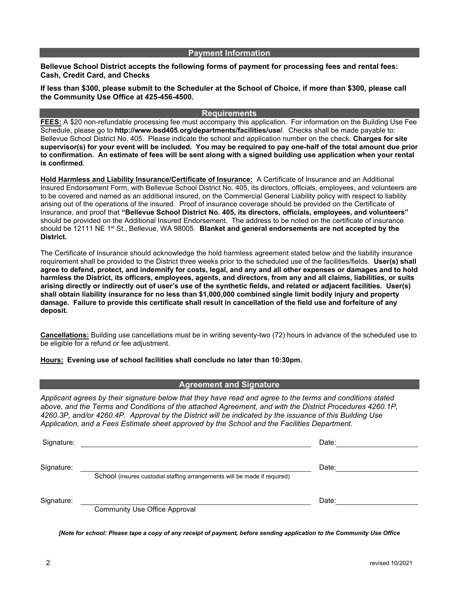#### **Payment Information**

**Bellevue School District accepts the following forms of payment for processing fees and rental fees: Cash, Credit Card, and Checks**

**If less than \$300, please submit to the Scheduler at the School of Choice, if more than \$300, please call the Community Use Office at 425-456-4500.**

#### **Requirements**

**FEES:** A \$20 non-refundable processing fee must accompany this application. For information on the Building Use Fee Schedule, please go to **http://www.bsd405.org/departments/facilities/use/**. Checks shall be made payable to: Bellevue School District No. 405. Please indicate the school and application number on the check. **Charges for site supervisor(s) for your event will be included. You may be required to pay one-half of the total amount due prior to confirmation. An estimate of fees will be sent along with a signed building use application when your rental is confirmed**.

**Hold Harmless and Liability Insurance/Certificate of Insurance:** A Certificate of Insurance and an Additional Insured Endorsement Form, with Bellevue School District No. 405, its directors, officials, employees, and volunteers are to be covered and named as an additional insured, on the Commercial General Liability policy with respect to liability arising out of the operations of the insured. Proof of insurance coverage should be provided on the Certificate of Insurance, and proof that **"Bellevue School District No. 405, its directors, officials, employees, and volunteers"** should be provided on the Additional Insured Endorsement. The address to be noted on the certificate of insurance should be 12111 NE 1st St., Bellevue, WA 98005. **Blanket and general endorsements are not accepted by the District.**

The Certificate of Insurance should acknowledge the hold harmless agreement stated below and the liability insurance requirement shall be provided to the District three weeks prior to the scheduled use of the facilities/fields. **User(s) shall agree to defend, protect, and indemnify for costs, legal, and any and all other expenses or damages and to hold harmless the District, its officers, employees, agents, and directors, from any and all claims, liabilities, or suits arising directly or indirectly out of user's use of the synthetic fields, and related or adjacent facilities. User(s) shall obtain liability insurance for no less than \$1,000,000 combined single limit bodily injury and property damage. Failure to provide this certificate shall result in cancellation of the field use and forfeiture of any deposit.**

**Cancellations:** Building use cancellations must be in writing seventy-two (72) hours in advance of the scheduled use to be eligible for a refund or fee adjustment.

**Hours: Evening use of school facilities shall conclude no later than 10:30pm.**

#### **Agreement and Signature**

*Applicant agrees by their signature below that they have read and agree to the terms and conditions stated above, and the Terms and Conditions of the attached Agreement, and with the District Procedures 4260.1P, 4260.3P, and/or 4260.4P. Approval by the District will be indicated by the issuance of this Building Use Application, and a Fees Estimate sheet approved by the School and the Facilities Department.*

| Signature: |                                                                           | Date: |  |
|------------|---------------------------------------------------------------------------|-------|--|
| Signature: | School (insures custodial staffing arrangements will be made if required) | Date: |  |
| Signature: | <b>Community Use Office Approval</b>                                      | Date: |  |

*[Note for school: Please tape a copy of any receipt of payment, before sending application to the Community Use Office*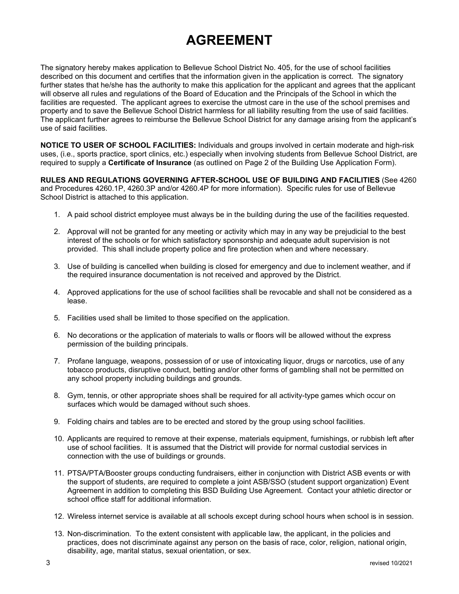## **AGREEMENT**

The signatory hereby makes application to Bellevue School District No. 405, for the use of school facilities described on this document and certifies that the information given in the application is correct. The signatory further states that he/she has the authority to make this application for the applicant and agrees that the applicant will observe all rules and regulations of the Board of Education and the Principals of the School in which the facilities are requested. The applicant agrees to exercise the utmost care in the use of the school premises and property and to save the Bellevue School District harmless for all liability resulting from the use of said facilities. The applicant further agrees to reimburse the Bellevue School District for any damage arising from the applicant's use of said facilities.

**NOTICE TO USER OF SCHOOL FACILITIES:** Individuals and groups involved in certain moderate and high-risk uses, (i.e., sports practice, sport clinics, etc.) especially when involving students from Bellevue School District, are required to supply a **Certificate of Insurance** (as outlined on Page 2 of the Building Use Application Form).

**RULES AND REGULATIONS GOVERNING AFTER-SCHOOL USE OF BUILDING AND FACILITIES** (See 4260 and Procedures 4260.1P, 4260.3P and/or 4260.4P for more information). Specific rules for use of Bellevue School District is attached to this application.

- 1. A paid school district employee must always be in the building during the use of the facilities requested.
- 2. Approval will not be granted for any meeting or activity which may in any way be prejudicial to the best interest of the schools or for which satisfactory sponsorship and adequate adult supervision is not provided. This shall include property police and fire protection when and where necessary.
- 3. Use of building is cancelled when building is closed for emergency and due to inclement weather, and if the required insurance documentation is not received and approved by the District.
- 4. Approved applications for the use of school facilities shall be revocable and shall not be considered as a lease.
- 5. Facilities used shall be limited to those specified on the application.
- 6. No decorations or the application of materials to walls or floors will be allowed without the express permission of the building principals.
- 7. Profane language, weapons, possession of or use of intoxicating liquor, drugs or narcotics, use of any tobacco products, disruptive conduct, betting and/or other forms of gambling shall not be permitted on any school property including buildings and grounds.
- 8. Gym, tennis, or other appropriate shoes shall be required for all activity-type games which occur on surfaces which would be damaged without such shoes.
- 9. Folding chairs and tables are to be erected and stored by the group using school facilities.
- 10. Applicants are required to remove at their expense, materials equipment, furnishings, or rubbish left after use of school facilities. It is assumed that the District will provide for normal custodial services in connection with the use of buildings or grounds.
- 11. PTSA/PTA/Booster groups conducting fundraisers, either in conjunction with District ASB events or with the support of students, are required to complete a joint ASB/SSO (student support organization) Event Agreement in addition to completing this BSD Building Use Agreement. Contact your athletic director or school office staff for additional information.
- 12. Wireless internet service is available at all schools except during school hours when school is in session.
- 13. Non-discrimination. To the extent consistent with applicable law, the applicant, in the policies and practices, does not discriminate against any person on the basis of race, color, religion, national origin, disability, age, marital status, sexual orientation, or sex.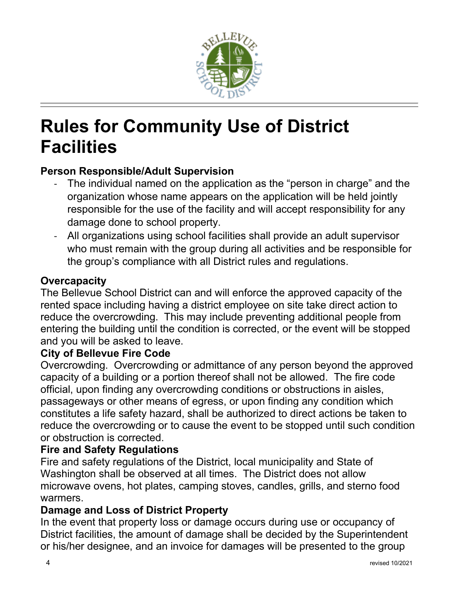

# **Rules for Community Use of District Facilities**

## **Person Responsible/Adult Supervision**

- The individual named on the application as the "person in charge" and the organization whose name appears on the application will be held jointly responsible for the use of the facility and will accept responsibility for any damage done to school property.
- All organizations using school facilities shall provide an adult supervisor who must remain with the group during all activities and be responsible for the group's compliance with all District rules and regulations.

## **Overcapacity**

The Bellevue School District can and will enforce the approved capacity of the rented space including having a district employee on site take direct action to reduce the overcrowding. This may include preventing additional people from entering the building until the condition is corrected, or the event will be stopped and you will be asked to leave.

## **City of Bellevue Fire Code**

Overcrowding. Overcrowding or admittance of any person beyond the approved capacity of a building or a portion thereof shall not be allowed. The fire code official, upon finding any overcrowding conditions or obstructions in aisles, passageways or other means of egress, or upon finding any condition which constitutes a life safety hazard, shall be authorized to direct actions be taken to reduce the overcrowding or to cause the event to be stopped until such condition or obstruction is corrected.

## **Fire and Safety Regulations**

Fire and safety regulations of the District, local municipality and State of Washington shall be observed at all times. The District does not allow microwave ovens, hot plates, camping stoves, candles, grills, and sterno food warmers.

## **Damage and Loss of District Property**

In the event that property loss or damage occurs during use or occupancy of District facilities, the amount of damage shall be decided by the Superintendent or his/her designee, and an invoice for damages will be presented to the group